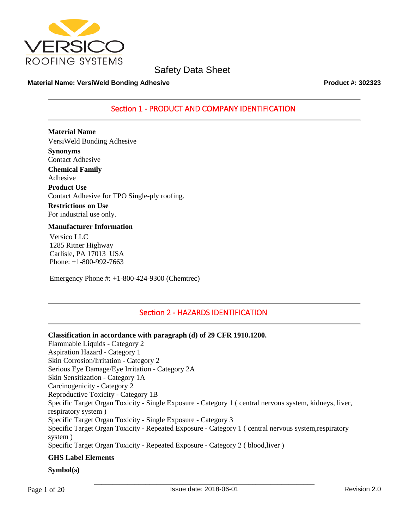

#### **Material Name: VersiWeld Bonding Adhesive Product #: 302323**

# Section 1 - PRODUCT AND COMPANY IDENTIFICATION

**Material Name** VersiWeld Bonding Adhesive **Synonyms** Contact Adhesive **Chemical Family** Adhesive **Product Use** Contact Adhesive for TPO Single-ply roofing. **Restrictions on Use**

For industrial use only.

#### **Manufacturer Information**

Versico LLC 1285 Ritner Highway Carlisle, PA 17013 USA Phone: +1-800-992-7663

Emergency Phone #: +1-800-424-9300 (Chemtrec)

# Section 2 - HAZARDS IDENTIFICATION

#### **Classification in accordance with paragraph (d) of 29 CFR 1910.1200.**

Flammable Liquids - Category 2 Aspiration Hazard - Category 1 Skin Corrosion/Irritation - Category 2 Serious Eye Damage/Eye Irritation - Category 2A Skin Sensitization - Category 1A Carcinogenicity - Category 2 Reproductive Toxicity - Category 1B Specific Target Organ Toxicity - Single Exposure - Category 1 ( central nervous system, kidneys, liver, respiratory system ) Specific Target Organ Toxicity - Single Exposure - Category 3 Specific Target Organ Toxicity - Repeated Exposure - Category 1 ( central nervous system,respiratory system ) Specific Target Organ Toxicity - Repeated Exposure - Category 2 ( blood,liver ) **GHS Label Elements**

#### **Symbol(s)**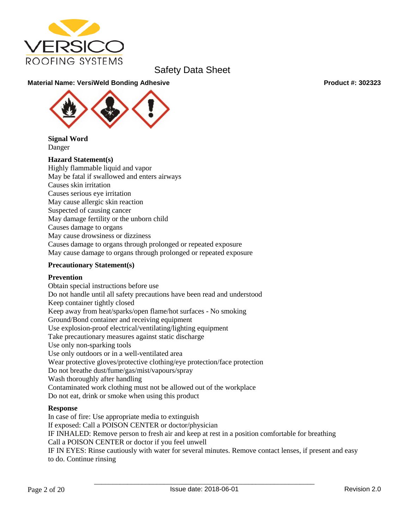

### **Material Name: VersiWeld Bonding Adhesive Product #: 302323**

**Signal Word** Danger

#### **Hazard Statement(s)**

Highly flammable liquid and vapor May be fatal if swallowed and enters airways Causes skin irritation Causes serious eye irritation May cause allergic skin reaction Suspected of causing cancer May damage fertility or the unborn child Causes damage to organs May cause drowsiness or dizziness Causes damage to organs through prolonged or repeated exposure May cause damage to organs through prolonged or repeated exposure

#### **Precautionary Statement(s)**

#### **Prevention**

Obtain special instructions before use Do not handle until all safety precautions have been read and understood Keep container tightly closed Keep away from heat/sparks/open flame/hot surfaces - No smoking Ground/Bond container and receiving equipment Use explosion-proof electrical/ventilating/lighting equipment Take precautionary measures against static discharge Use only non-sparking tools Use only outdoors or in a well-ventilated area Wear protective gloves/protective clothing/eye protection/face protection Do not breathe dust/fume/gas/mist/vapours/spray Wash thoroughly after handling Contaminated work clothing must not be allowed out of the workplace Do not eat, drink or smoke when using this product

#### **Response**

In case of fire: Use appropriate media to extinguish If exposed: Call a POISON CENTER or doctor/physician IF INHALED: Remove person to fresh air and keep at rest in a position comfortable for breathing Call a POISON CENTER or doctor if you feel unwell IF IN EYES: Rinse cautiously with water for several minutes. Remove contact lenses, if present and easy to do. Continue rinsing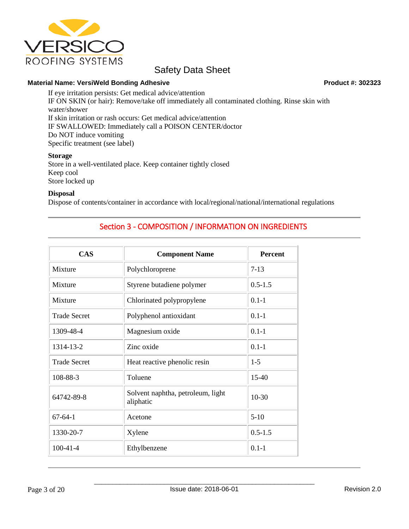

#### **Material Name: VersiWeld Bonding Adhesive Product #: 302323**

If eye irritation persists: Get medical advice/attention IF ON SKIN (or hair): Remove/take off immediately all contaminated clothing. Rinse skin with water/shower If skin irritation or rash occurs: Get medical advice/attention IF SWALLOWED: Immediately call a POISON CENTER/doctor Do NOT induce vomiting Specific treatment (see label)

#### **Storage**

Store in a well-ventilated place. Keep container tightly closed Keep cool Store locked up

#### **Disposal**

Dispose of contents/container in accordance with local/regional/national/international regulations

# Section 3 - COMPOSITION / INFORMATION ON INGREDIENTS

| <b>CAS</b>          | <b>Component Name</b>                          | <b>Percent</b> |
|---------------------|------------------------------------------------|----------------|
| Mixture             | Polychloroprene                                | $7-13$         |
| Mixture             | Styrene butadiene polymer                      | $0.5 - 1.5$    |
| Mixture             | Chlorinated polypropylene                      | $0.1 - 1$      |
| <b>Trade Secret</b> | Polyphenol antioxidant                         | $0.1 - 1$      |
| 1309-48-4           | Magnesium oxide                                | $0.1 - 1$      |
| 1314-13-2           | Zinc oxide                                     | $0.1 - 1$      |
| <b>Trade Secret</b> | Heat reactive phenolic resin                   | $1-5$          |
| 108-88-3            | Toluene                                        | $15 - 40$      |
| 64742-89-8          | Solvent naphtha, petroleum, light<br>aliphatic | $10-30$        |
| $67 - 64 - 1$       | Acetone                                        | $5-10$         |
| 1330-20-7           | Xylene                                         | $0.5 - 1.5$    |
| $100-41-4$          | Ethylbenzene                                   | $0.1 - 1$      |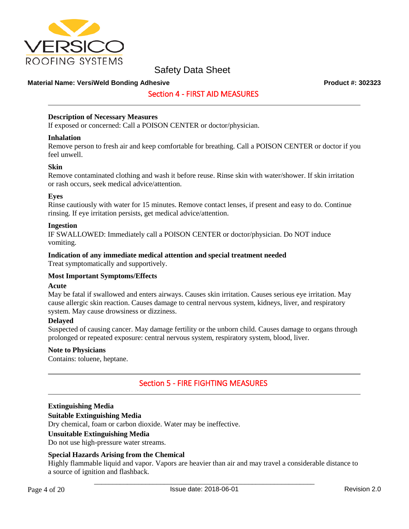

#### **Material Name: VersiWeld Bonding Adhesive Product #: 302323**

## Section 4 - FIRST AID MEASURES

#### **Description of Necessary Measures**

If exposed or concerned: Call a POISON CENTER or doctor/physician.

#### **Inhalation**

Remove person to fresh air and keep comfortable for breathing. Call a POISON CENTER or doctor if you feel unwell.

#### **Skin**

Remove contaminated clothing and wash it before reuse. Rinse skin with water/shower. If skin irritation or rash occurs, seek medical advice/attention.

#### **Eyes**

Rinse cautiously with water for 15 minutes. Remove contact lenses, if present and easy to do. Continue rinsing. If eye irritation persists, get medical advice/attention.

#### **Ingestion**

IF SWALLOWED: Immediately call a POISON CENTER or doctor/physician. Do NOT induce vomiting.

#### **Indication of any immediate medical attention and special treatment needed**

Treat symptomatically and supportively.

#### **Most Important Symptoms/Effects**

#### **Acute**

May be fatal if swallowed and enters airways. Causes skin irritation. Causes serious eye irritation. May cause allergic skin reaction. Causes damage to central nervous system, kidneys, liver, and respiratory system. May cause drowsiness or dizziness.

#### **Delayed**

Suspected of causing cancer. May damage fertility or the unborn child. Causes damage to organs through prolonged or repeated exposure: central nervous system, respiratory system, blood, liver.

#### **Note to Physicians**

Contains: toluene, heptane.

## Section 5 - FIRE FIGHTING MEASURES

#### **Extinguishing Media**

#### **Suitable Extinguishing Media**

Dry chemical, foam or carbon dioxide. Water may be ineffective.

#### **Unsuitable Extinguishing Media**

Do not use high-pressure water streams.

#### **Special Hazards Arising from the Chemical**

Highly flammable liquid and vapor. Vapors are heavier than air and may travel a considerable distance to a source of ignition and flashback.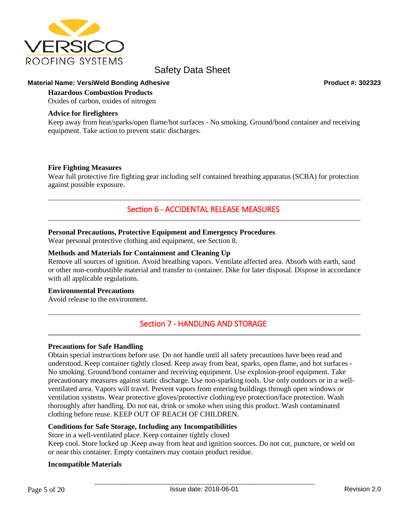

#### **Material Name: VersiWeld Bonding Adhesive Product #: 302323**

## **Hazardous Combustion Products**

Oxides of carbon, oxides of nitrogen

#### **Advice for firefighters**

Keep away from heat/sparks/open flame/hot surfaces - No smoking. Ground/bond container and receiving equipment. Take action to prevent static discharges.

#### **Fire Fighting Measures**

Wear full protective fire fighting gear including self contained breathing apparatus (SCBA) for protection against possible exposure.

# Section 6 - ACCIDENTAL RELEASE MEASURES

#### **Personal Precautions, Protective Equipment and Emergency Procedures**

Wear personal protective clothing and equipment, see Section 8.

#### **Methods and Materials for Containment and Cleaning Up**

Remove all sources of ignition. Avoid breathing vapors. Ventilate affected area. Absorb with earth, sand or other non-combustible material and transfer to container. Dike for later disposal. Dispose in accordance with all applicable regulations.

#### **Environmental Precautions**

Avoid release to the environment.

## Section 7 - HANDLING AND STORAGE

#### **Precautions for Safe Handling**

Obtain special instructions before use. Do not handle until all safety precautions have been read and understood. Keep container tightly closed. Keep away from heat, sparks, open flame, and hot surfaces - No smoking. Ground/bond container and receiving equipment. Use explosion-proof equipment. Take precautionary measures against static discharge. Use non-sparking tools. Use only outdoors or in a wellventilated area. Vapors will travel. Prevent vapors from entering buildings through open windows or ventilation systems. Wear protective gloves/protective clothing/eye protection/face protection. Wash thoroughly after handling. Do not eat, drink or smoke when using this product. Wash contaminated clothing before reuse. KEEP OUT OF REACH OF CHILDREN.

#### **Conditions for Safe Storage, Including any Incompatibilities**

Store in a well-ventilated place. Keep container tightly closed Keep cool. Store locked up .Keep away from heat and ignition sources. Do not cut, puncture, or weld on or near this container. Empty containers may contain product residue.

#### **Incompatible Materials**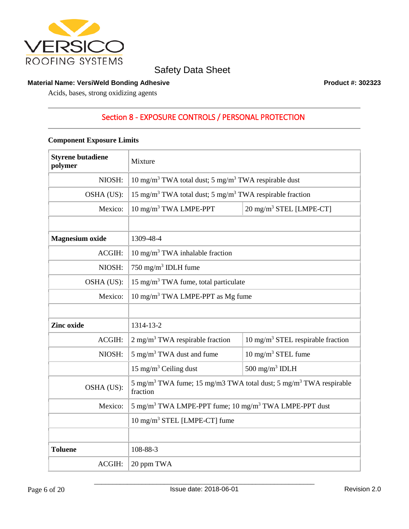

#### **Material Name: VersiWeld Bonding Adhesive Product #: 302323**

Acids, bases, strong oxidizing agents

# Section 8 - EXPOSURE CONTROLS / PERSONAL PROTECTION

### **Component Exposure Limits**

| <b>Styrene butadiene</b><br>polymer | Mixture                                                                                               |                                              |
|-------------------------------------|-------------------------------------------------------------------------------------------------------|----------------------------------------------|
| NIOSH:                              | 10 mg/m <sup>3</sup> TWA total dust; 5 mg/m <sup>3</sup> TWA respirable dust                          |                                              |
| OSHA (US):                          | 15 mg/m <sup>3</sup> TWA total dust; 5 mg/m <sup>3</sup> TWA respirable fraction                      |                                              |
| Mexico:                             | 10 mg/m <sup>3</sup> TWA LMPE-PPT                                                                     | 20 mg/m <sup>3</sup> STEL [LMPE-CT]          |
|                                     |                                                                                                       |                                              |
| <b>Magnesium</b> oxide              | 1309-48-4                                                                                             |                                              |
| ACGIH:                              | $10 \text{ mg/m}^3$ TWA inhalable fraction                                                            |                                              |
| NIOSH:                              | 750 mg/m <sup>3</sup> IDLH fume                                                                       |                                              |
| OSHA (US):                          | 15 mg/m <sup>3</sup> TWA fume, total particulate                                                      |                                              |
| Mexico:                             | $10 \text{ mg/m}^3$ TWA LMPE-PPT as Mg fume                                                           |                                              |
|                                     |                                                                                                       |                                              |
| Zinc oxide                          | 1314-13-2                                                                                             |                                              |
| ACGIH:                              | $2 \text{ mg/m}^3$ TWA respirable fraction                                                            | $10 \text{ mg/m}^3$ STEL respirable fraction |
| NIOSH:                              | 5 mg/m <sup>3</sup> TWA dust and fume                                                                 | $10 \text{ mg/m}^3$ STEL fume                |
|                                     | 15 mg/m <sup>3</sup> Ceiling dust                                                                     | 500 mg/m <sup>3</sup> IDLH                   |
| OSHA (US):                          | 5 mg/m <sup>3</sup> TWA fume; 15 mg/m3 TWA total dust; 5 mg/m <sup>3</sup> TWA respirable<br>fraction |                                              |
| Mexico:                             | 5 mg/m <sup>3</sup> TWA LMPE-PPT fume; 10 mg/m <sup>3</sup> TWA LMPE-PPT dust                         |                                              |
|                                     | 10 mg/m <sup>3</sup> STEL [LMPE-CT] fume                                                              |                                              |
|                                     |                                                                                                       |                                              |
| <b>Toluene</b>                      | 108-88-3                                                                                              |                                              |
| ACGIH:                              | 20 ppm TWA                                                                                            |                                              |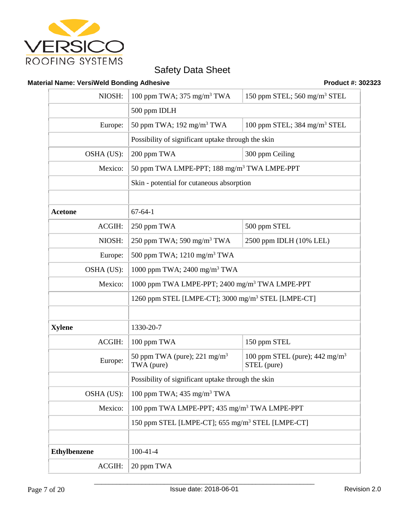

## **Material Name: VersiWeld Bonding Adhesive Product #: 302323 Product #: 302323**

| NIOSH:              | 100 ppm TWA; $375 \text{ mg/m}^3$ TWA                          | 150 ppm STEL; 560 mg/m <sup>3</sup> STEL                 |
|---------------------|----------------------------------------------------------------|----------------------------------------------------------|
|                     | 500 ppm IDLH                                                   |                                                          |
| Europe:             | 50 ppm TWA; $192 \text{ mg/m}^3$ TWA                           | 100 ppm STEL; 384 mg/m <sup>3</sup> STEL                 |
|                     | Possibility of significant uptake through the skin             |                                                          |
| OSHA (US):          | 200 ppm TWA                                                    | 300 ppm Ceiling                                          |
| Mexico:             | 50 ppm TWA LMPE-PPT; 188 mg/m <sup>3</sup> TWA LMPE-PPT        |                                                          |
|                     | Skin - potential for cutaneous absorption                      |                                                          |
|                     |                                                                |                                                          |
| <b>Acetone</b>      | $67 - 64 - 1$                                                  |                                                          |
| ACGIH:              | 250 ppm TWA                                                    | 500 ppm STEL                                             |
| NIOSH:              | 250 ppm TWA; 590 mg/m <sup>3</sup> TWA                         | 2500 ppm IDLH (10% LEL)                                  |
| Europe:             | 500 ppm TWA; 1210 mg/m <sup>3</sup> TWA                        |                                                          |
| OSHA (US):          | 1000 ppm TWA; 2400 mg/m <sup>3</sup> TWA                       |                                                          |
| Mexico:             | 1000 ppm TWA LMPE-PPT; 2400 mg/m <sup>3</sup> TWA LMPE-PPT     |                                                          |
|                     | 1260 ppm STEL [LMPE-CT]; 3000 mg/m <sup>3</sup> STEL [LMPE-CT] |                                                          |
|                     |                                                                |                                                          |
| <b>Xylene</b>       | 1330-20-7                                                      |                                                          |
| ACGIH:              | 100 ppm TWA                                                    | 150 ppm STEL                                             |
| Europe:             | 50 ppm TWA (pure); $221 \text{ mg/m}^3$<br>TWA (pure)          | 100 ppm STEL (pure); $442 \text{ mg/m}^3$<br>STEL (pure) |
|                     | Possibility of significant uptake through the skin             |                                                          |
| OSHA (US):          | 100 ppm TWA; $435 \text{ mg/m}^3$ TWA                          |                                                          |
| Mexico:             | 100 ppm TWA LMPE-PPT; 435 mg/m <sup>3</sup> TWA LMPE-PPT       |                                                          |
|                     | 150 ppm STEL [LMPE-CT]; 655 mg/m <sup>3</sup> STEL [LMPE-CT]   |                                                          |
|                     |                                                                |                                                          |
| <b>Ethylbenzene</b> | $100 - 41 - 4$                                                 |                                                          |
| ACGIH:              | 20 ppm TWA                                                     |                                                          |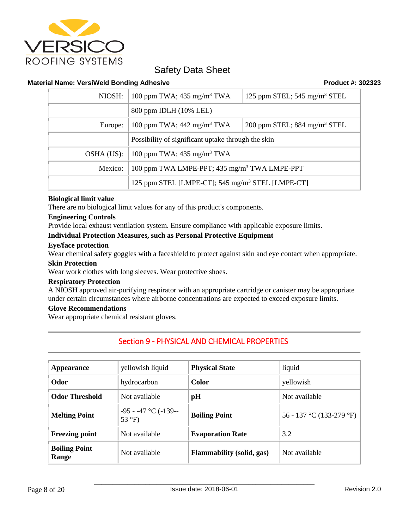

#### **Material Name: VersiWeld Bonding Adhesive Product #: 302323**

| NIOSH:     | 100 ppm TWA; $435 \text{ mg/m}^3$ TWA                        | 125 ppm STEL; $545 \text{ mg/m}^3$ STEL |
|------------|--------------------------------------------------------------|-----------------------------------------|
|            | 800 ppm IDLH (10% LEL)                                       |                                         |
| Europe:    | 100 ppm TWA; $442 \text{ mg/m}^3$ TWA                        | 200 ppm STEL; $884 \text{ mg/m}^3$ STEL |
|            | Possibility of significant uptake through the skin           |                                         |
| OSHA (US): | 100 ppm TWA; $435 \text{ mg/m}^3$ TWA                        |                                         |
| Mexico:    | 100 ppm TWA LMPE-PPT; 435 mg/m <sup>3</sup> TWA LMPE-PPT     |                                         |
|            | 125 ppm STEL [LMPE-CT]; 545 mg/m <sup>3</sup> STEL [LMPE-CT] |                                         |

#### **Biological limit value**

There are no biological limit values for any of this product's components.

#### **Engineering Controls**

Provide local exhaust ventilation system. Ensure compliance with applicable exposure limits.

#### **Individual Protection Measures, such as Personal Protective Equipment**

#### **Eye/face protection**

Wear chemical safety goggles with a faceshield to protect against skin and eye contact when appropriate.

#### **Skin Protection**

Wear work clothes with long sleeves. Wear protective shoes.

#### **Respiratory Protection**

A NIOSH approved air-purifying respirator with an appropriate cartridge or canister may be appropriate under certain circumstances where airborne concentrations are expected to exceed exposure limits.

### **Glove Recommendations**

Wear appropriate chemical resistant gloves.

# Section 9 - PHYSICAL AND CHEMICAL PROPERTIES

| Appearance                    | yellowish liquid                                | <b>Physical State</b>            | liquid                   |
|-------------------------------|-------------------------------------------------|----------------------------------|--------------------------|
| Odor                          | hydrocarbon                                     | <b>Color</b>                     | yellowish                |
| <b>Odor Threshold</b>         | Not available                                   | pH                               | Not available            |
| <b>Melting Point</b>          | $-95 - 47$ °C ( $-139$ --<br>53 $\mathrm{P}$ F) | <b>Boiling Point</b>             | 56 - 137 °C (133-279 °F) |
| <b>Freezing point</b>         | Not available                                   | <b>Evaporation Rate</b>          | 3.2                      |
| <b>Boiling Point</b><br>Range | Not available                                   | <b>Flammability</b> (solid, gas) | Not available            |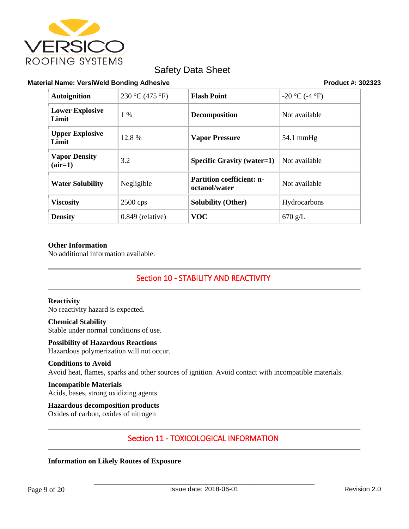

#### **Material Name: VersiWeld Bonding Adhesive Product #: 302323**

| <b>Autoignition</b>               | 230 °C (475 °F)    | <b>Flash Point</b>                                | $-20$ °C (-4 °F)    |
|-----------------------------------|--------------------|---------------------------------------------------|---------------------|
| <b>Lower Explosive</b><br>Limit   | 1 %                | <b>Decomposition</b>                              | Not available       |
| <b>Upper Explosive</b><br>Limit   | 12.8%              | <b>Vapor Pressure</b>                             | $54.1 \text{ mmHg}$ |
| <b>Vapor Density</b><br>$(air=1)$ | 3.2                | <b>Specific Gravity (water=1)</b>                 | Not available       |
| <b>Water Solubility</b>           | Negligible         | <b>Partition coefficient: n-</b><br>octanol/water | Not available       |
| <b>Viscosity</b>                  | $2500$ cps         | <b>Solubility (Other)</b>                         | Hydrocarbons        |
| <b>Density</b>                    | $0.849$ (relative) | <b>VOC</b>                                        | $670$ g/L           |

#### **Other Information**

No additional information available.

# Section 10 - STABILITY AND REACTIVITY

#### **Reactivity**

No reactivity hazard is expected.

# **Chemical Stability**

Stable under normal conditions of use.

## **Possibility of Hazardous Reactions**

Hazardous polymerization will not occur.

## **Conditions to Avoid**

Avoid heat, flames, sparks and other sources of ignition. Avoid contact with incompatible materials.

#### **Incompatible Materials** Acids, bases, strong oxidizing agents

**Hazardous decomposition products** Oxides of carbon, oxides of nitrogen

# Section 11 - TOXICOLOGICAL INFORMATION

#### **Information on Likely Routes of Exposure**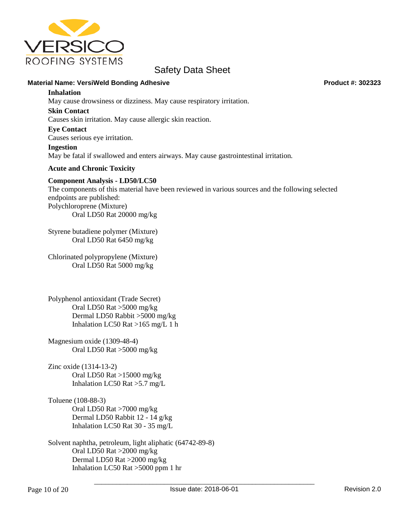

#### **Material Name: VersiWeld Bonding Adhesive Product #: 302323**

#### **Inhalation**

May cause drowsiness or dizziness. May cause respiratory irritation.

#### **Skin Contact**

Causes skin irritation. May cause allergic skin reaction.

#### **Eye Contact**

Causes serious eye irritation.

#### **Ingestion**

May be fatal if swallowed and enters airways. May cause gastrointestinal irritation.

#### **Acute and Chronic Toxicity**

#### **Component Analysis - LD50/LC50**

The components of this material have been reviewed in various sources and the following selected endpoints are published: Polychloroprene (Mixture) Oral LD50 Rat 20000 mg/kg

Styrene butadiene polymer (Mixture) Oral LD50 Rat 6450 mg/kg

Chlorinated polypropylene (Mixture) Oral LD50 Rat 5000 mg/kg

Polyphenol antioxidant (Trade Secret) Oral LD50 Rat >5000 mg/kg Dermal LD50 Rabbit >5000 mg/kg Inhalation LC50 Rat >165 mg/L 1 h

Magnesium oxide (1309-48-4) Oral LD50 Rat >5000 mg/kg

Zinc oxide (1314-13-2) Oral LD50 Rat >15000 mg/kg Inhalation LC50 Rat >5.7 mg/L

Toluene (108-88-3) Oral LD50 Rat >7000 mg/kg Dermal LD50 Rabbit 12 - 14 g/kg Inhalation LC50 Rat 30 - 35 mg/L

Solvent naphtha, petroleum, light aliphatic (64742-89-8) Oral LD50 Rat >2000 mg/kg Dermal LD50 Rat >2000 mg/kg Inhalation LC50 Rat >5000 ppm 1 hr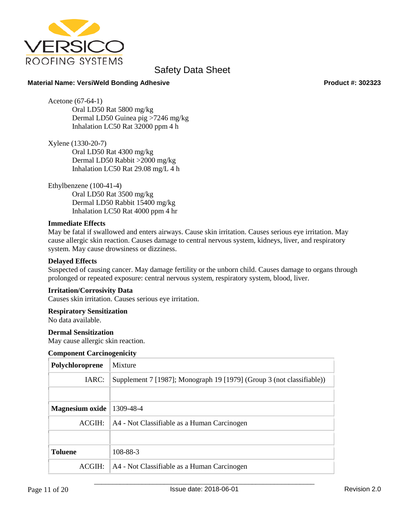

#### **Material Name: VersiWeld Bonding Adhesive Product #: 302323**

Acetone (67-64-1)

Oral LD50 Rat 5800 mg/kg Dermal LD50 Guinea pig >7246 mg/kg Inhalation LC50 Rat 32000 ppm 4 h

Xylene (1330-20-7) Oral LD50 Rat 4300 mg/kg Dermal LD50 Rabbit >2000 mg/kg Inhalation LC50 Rat 29.08 mg/L 4 h

Ethylbenzene (100-41-4) Oral LD50 Rat 3500 mg/kg Dermal LD50 Rabbit 15400 mg/kg Inhalation LC50 Rat 4000 ppm 4 hr

#### **Immediate Effects**

May be fatal if swallowed and enters airways. Cause skin irritation. Causes serious eye irritation. May cause allergic skin reaction. Causes damage to central nervous system, kidneys, liver, and respiratory system. May cause drowsiness or dizziness.

#### **Delayed Effects**

Suspected of causing cancer. May damage fertility or the unborn child. Causes damage to organs through prolonged or repeated exposure: central nervous system, respiratory system, blood, liver.

#### **Irritation/Corrosivity Data**

Causes skin irritation. Causes serious eye irritation.

#### **Respiratory Sensitization**

No data available.

#### **Dermal Sensitization**

May cause allergic skin reaction.

#### **Component Carcinogenicity**

| Polychloroprene | Mixture                                                               |
|-----------------|-----------------------------------------------------------------------|
| IARC:           | Supplement 7 [1987]; Monograph 19 [1979] (Group 3 (not classifiable)) |
|                 |                                                                       |
| Magnesium oxide | 1309-48-4                                                             |
| <b>ACGIH:</b>   | A4 - Not Classifiable as a Human Carcinogen                           |
|                 |                                                                       |
| <b>Toluene</b>  | 108-88-3                                                              |
| ACGIH:          | A4 - Not Classifiable as a Human Carcinogen                           |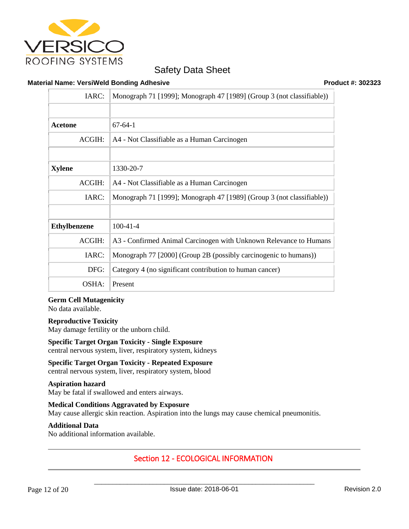

#### **Material Name: VersiWeld Bonding Adhesive Product #: 302323**

| IARC:               | Monograph 71 [1999]; Monograph 47 [1989] (Group 3 (not classifiable)) |
|---------------------|-----------------------------------------------------------------------|
|                     |                                                                       |
| Acetone             | $67-64-1$                                                             |
| <b>ACGIH:</b>       | A4 - Not Classifiable as a Human Carcinogen                           |
|                     |                                                                       |
| <b>Xylene</b>       | 1330-20-7                                                             |
| <b>ACGIH:</b>       | A4 - Not Classifiable as a Human Carcinogen                           |
| IARC:               | Monograph 71 [1999]; Monograph 47 [1989] (Group 3 (not classifiable)) |
|                     |                                                                       |
| <b>Ethylbenzene</b> | $100-41-4$                                                            |
| ACGIH:              | A3 - Confirmed Animal Carcinogen with Unknown Relevance to Humans     |
| IARC:               | Monograph 77 [2000] (Group 2B (possibly carcinogenic to humans))      |
| DFG:                | Category 4 (no significant contribution to human cancer)              |
| OSHA:               | Present                                                               |

#### **Germ Cell Mutagenicity**

No data available.

#### **Reproductive Toxicity**

May damage fertility or the unborn child.

## **Specific Target Organ Toxicity - Single Exposure** central nervous system, liver, respiratory system, kidneys

**Specific Target Organ Toxicity - Repeated Exposure** central nervous system, liver, respiratory system, blood

**Aspiration hazard** May be fatal if swallowed and enters airways.

**Medical Conditions Aggravated by Exposure** May cause allergic skin reaction. Aspiration into the lungs may cause chemical pneumonitis.

#### **Additional Data**

No additional information available.

# Section 12 - ECOLOGICAL INFORMATION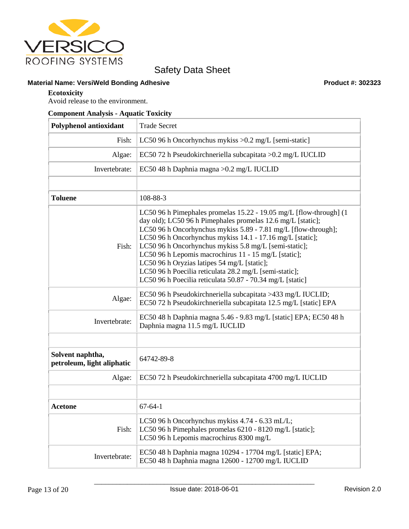

## **Material Name: VersiWeld Bonding Adhesive Product #: 302323**

#### **Ecotoxicity**

Avoid release to the environment.

### **Component Analysis - Aquatic Toxicity**

| <b>Polyphenol antioxidant</b>                  | <b>Trade Secret</b>                                                                                                                                                                                                                                                                                                                                                                                                                                                                                                                                     |
|------------------------------------------------|---------------------------------------------------------------------------------------------------------------------------------------------------------------------------------------------------------------------------------------------------------------------------------------------------------------------------------------------------------------------------------------------------------------------------------------------------------------------------------------------------------------------------------------------------------|
| Fish:                                          | LC50 96 h Oncorhynchus mykiss $>0.2$ mg/L [semi-static]                                                                                                                                                                                                                                                                                                                                                                                                                                                                                                 |
| Algae:                                         | EC50 72 h Pseudokirchneriella subcapitata > 0.2 mg/L IUCLID                                                                                                                                                                                                                                                                                                                                                                                                                                                                                             |
| Invertebrate:                                  | EC50 48 h Daphnia magna > 0.2 mg/L IUCLID                                                                                                                                                                                                                                                                                                                                                                                                                                                                                                               |
|                                                |                                                                                                                                                                                                                                                                                                                                                                                                                                                                                                                                                         |
| <b>Toluene</b>                                 | 108-88-3                                                                                                                                                                                                                                                                                                                                                                                                                                                                                                                                                |
| Fish:                                          | LC50 96 h Pimephales promelas 15.22 - 19.05 mg/L [flow-through] (1<br>day old); LC50 96 h Pimephales promelas 12.6 mg/L [static];<br>LC50 96 h Oncorhynchus mykiss 5.89 - 7.81 mg/L [flow-through];<br>LC50 96 h Oncorhynchus mykiss 14.1 - 17.16 mg/L [static];<br>LC50 96 h Oncorhynchus mykiss 5.8 mg/L [semi-static];<br>LC50 96 h Lepomis macrochirus 11 - 15 mg/L [static];<br>LC50 96 h Oryzias latipes 54 mg/L [static];<br>LC50 96 h Poecilia reticulata 28.2 mg/L [semi-static];<br>LC50 96 h Poecilia reticulata 50.87 - 70.34 mg/L [static] |
| Algae:                                         | EC50 96 h Pseudokirchneriella subcapitata >433 mg/L IUCLID;<br>EC50 72 h Pseudokirchneriella subcapitata 12.5 mg/L [static] EPA                                                                                                                                                                                                                                                                                                                                                                                                                         |
| Invertebrate:                                  | EC50 48 h Daphnia magna 5.46 - 9.83 mg/L [static] EPA; EC50 48 h<br>Daphnia magna 11.5 mg/L IUCLID                                                                                                                                                                                                                                                                                                                                                                                                                                                      |
|                                                |                                                                                                                                                                                                                                                                                                                                                                                                                                                                                                                                                         |
| Solvent naphtha,<br>petroleum, light aliphatic | 64742-89-8                                                                                                                                                                                                                                                                                                                                                                                                                                                                                                                                              |
| Algae:                                         | EC50 72 h Pseudokirchneriella subcapitata 4700 mg/L IUCLID                                                                                                                                                                                                                                                                                                                                                                                                                                                                                              |
|                                                |                                                                                                                                                                                                                                                                                                                                                                                                                                                                                                                                                         |
| <b>Acetone</b>                                 | $67 - 64 - 1$                                                                                                                                                                                                                                                                                                                                                                                                                                                                                                                                           |
| Fish:                                          | LC50 96 h Oncorhynchus mykiss 4.74 - 6.33 mL/L;<br>LC50 96 h Pimephales promelas 6210 - 8120 mg/L [static];<br>LC50 96 h Lepomis macrochirus 8300 mg/L                                                                                                                                                                                                                                                                                                                                                                                                  |
| Invertebrate:                                  | EC50 48 h Daphnia magna 10294 - 17704 mg/L [static] EPA;<br>EC50 48 h Daphnia magna 12600 - 12700 mg/L IUCLID                                                                                                                                                                                                                                                                                                                                                                                                                                           |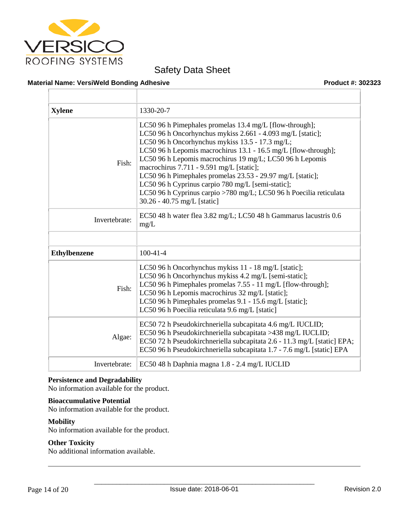

#### **Material Name: VersiWeld Bonding Adhesive Product #: 302323**

| 1330-20-7                                                                                                                                                                                                                                                                                                                                                                                                                                                                                                                                                                  |
|----------------------------------------------------------------------------------------------------------------------------------------------------------------------------------------------------------------------------------------------------------------------------------------------------------------------------------------------------------------------------------------------------------------------------------------------------------------------------------------------------------------------------------------------------------------------------|
| LC50 96 h Pimephales promelas 13.4 mg/L [flow-through];<br>LC50 96 h Oncorhynchus mykiss 2.661 - 4.093 mg/L [static];<br>LC50 96 h Oncorhynchus mykiss 13.5 - 17.3 mg/L;<br>LC50 96 h Lepomis macrochirus 13.1 - 16.5 mg/L [flow-through];<br>LC50 96 h Lepomis macrochirus 19 mg/L; LC50 96 h Lepomis<br>macrochirus 7.711 - 9.591 mg/L [static];<br>LC50 96 h Pimephales promelas 23.53 - 29.97 mg/L [static];<br>LC50 96 h Cyprinus carpio 780 mg/L [semi-static];<br>LC50 96 h Cyprinus carpio >780 mg/L; LC50 96 h Poecilia reticulata<br>30.26 - 40.75 mg/L [static] |
| EC50 48 h water flea 3.82 mg/L; LC50 48 h Gammarus lacustris 0.6<br>mg/L                                                                                                                                                                                                                                                                                                                                                                                                                                                                                                   |
|                                                                                                                                                                                                                                                                                                                                                                                                                                                                                                                                                                            |
| $100-41-4$                                                                                                                                                                                                                                                                                                                                                                                                                                                                                                                                                                 |
| LC50 96 h Oncorhynchus mykiss 11 - 18 mg/L [static];<br>LC50 96 h Oncorhynchus mykiss 4.2 mg/L [semi-static];<br>LC50 96 h Pimephales promelas 7.55 - 11 mg/L [flow-through];<br>LC50 96 h Lepomis macrochirus 32 mg/L [static];<br>LC50 96 h Pimephales promelas 9.1 - 15.6 mg/L [static];<br>LC50 96 h Poecilia reticulata 9.6 mg/L [static]                                                                                                                                                                                                                             |
| EC50 72 h Pseudokirchneriella subcapitata 4.6 mg/L IUCLID;<br>EC50 96 h Pseudokirchneriella subcapitata >438 mg/L IUCLID;<br>EC50 72 h Pseudokirchneriella subcapitata 2.6 - 11.3 mg/L [static] EPA;<br>EC50 96 h Pseudokirchneriella subcapitata 1.7 - 7.6 mg/L [static] EPA                                                                                                                                                                                                                                                                                              |
| EC50 48 h Daphnia magna 1.8 - 2.4 mg/L IUCLID                                                                                                                                                                                                                                                                                                                                                                                                                                                                                                                              |
|                                                                                                                                                                                                                                                                                                                                                                                                                                                                                                                                                                            |

#### **Persistence and Degradability**

No information available for the product.

#### **Bioaccumulative Potential**

No information available for the product.

#### **Mobility**

No information available for the product.

#### **Other Toxicity**

No additional information available.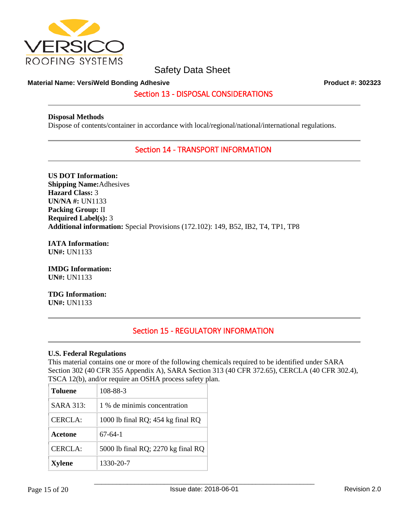

#### **Material Name: VersiWeld Bonding Adhesive Product #: 302323**

## Section 13 - DISPOSAL CONSIDERATIONS

#### **Disposal Methods**

Dispose of contents/container in accordance with local/regional/national/international regulations.

## Section 14 - TRANSPORT INFORMATION

**US DOT Information: Shipping Name:**Adhesives **Hazard Class:** 3 **UN/NA #:** UN1133 **Packing Group:** II **Required Label(s):** 3 **Additional information:** Special Provisions (172.102): 149, B52, IB2, T4, TP1, TP8

**IATA Information: UN#:** UN1133

**IMDG Information: UN#:** UN1133

**TDG Information: UN#:** UN1133

# Section 15 - REGULATORY INFORMATION

#### **U.S. Federal Regulations**

This material contains one or more of the following chemicals required to be identified under SARA Section 302 (40 CFR 355 Appendix A), SARA Section 313 (40 CFR 372.65), CERCLA (40 CFR 302.4), TSCA 12(b), and/or require an OSHA process safety plan.

| <b>Toluene</b> | 108-88-3                           |
|----------------|------------------------------------|
| $SARA$ 313:    | 1 % de minimis concentration       |
| CERCLA:        | 1000 lb final RQ; 454 kg final RQ  |
| Acetone        | 67-64-1                            |
| CERCLA:        | 5000 lb final RQ; 2270 kg final RQ |
| <b>Xylene</b>  | 1330-20-7                          |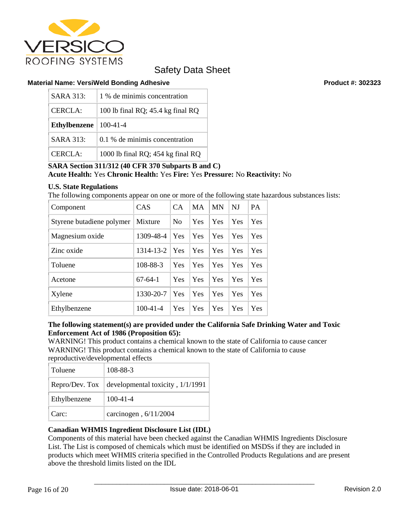

#### **Material Name: VersiWeld Bonding Adhesive Product #: 302323**

| SARA 313:           | 1 % de minimis concentration      |
|---------------------|-----------------------------------|
| CERCLA:             | 100 lb final RQ; 45.4 kg final RQ |
| <b>Ethylbenzene</b> | $100 - 41 - 4$                    |
| SARA 313:           | 0.1 % de minimis concentration    |
| CERCLA:             | 1000 lb final RQ; 454 kg final RQ |

### **SARA Section 311/312 (40 CFR 370 Subparts B and C) Acute Health:** Yes **Chronic Health:** Yes **Fire:** Yes **Pressure:** No **Reactivity:** No

#### **U.S. State Regulations**

The following components appear on one or more of the following state hazardous substances lists:

| Component                 | CAS            | CA             | <b>MA</b> | <b>MN</b> | NJ  | <b>PA</b>  |
|---------------------------|----------------|----------------|-----------|-----------|-----|------------|
| Styrene butadiene polymer | Mixture        | N <sub>0</sub> | Yes       | Yes       | Yes | Yes        |
| Magnesium oxide           | 1309-48-4      | Yes            | Yes       | Yes       | Yes | <b>Yes</b> |
| Zinc oxide                | 1314-13-2      | Yes            | Yes       | Yes       | Yes | Yes        |
| Toluene                   | 108-88-3       | Yes            | Yes       | Yes       | Yes | Yes        |
| Acetone                   | $67-64-1$      | Yes            | Yes       | Yes       | Yes | Yes        |
| Xylene                    | 1330-20-7      | Yes            | Yes       | Yes       | Yes | Yes        |
| Ethylbenzene              | $100 - 41 - 4$ | Yes            | Yes       | Yes       | Yes | Yes        |

### **The following statement(s) are provided under the California Safe Drinking Water and Toxic Enforcement Act of 1986 (Proposition 65):**

WARNING! This product contains a chemical known to the state of California to cause cancer WARNING! This product contains a chemical known to the state of California to cause reproductive/developmental effects

| Toluene                    | 108-88-3                         |
|----------------------------|----------------------------------|
| Repro/Dev. Tox $\parallel$ | developmental toxicity, 1/1/1991 |
| Ethylbenzene               | $100 - 41 - 4$                   |
| Carc:                      | carcinogen, 6/11/2004            |

## **Canadian WHMIS Ingredient Disclosure List (IDL)**

Components of this material have been checked against the Canadian WHMIS Ingredients Disclosure List. The List is composed of chemicals which must be identified on MSDSs if they are included in products which meet WHMIS criteria specified in the Controlled Products Regulations and are present above the threshold limits listed on the IDL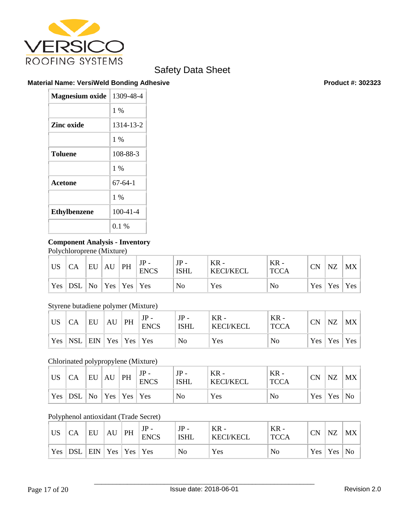

### **Material Name: VersiWeld Bonding Adhesive Product #: 302323**

| <b>Magnesium oxide</b> | 1309-48-4      |
|------------------------|----------------|
|                        | $1\%$          |
| Zinc oxide             | 1314-13-2      |
|                        | $1\%$          |
| <b>Toluene</b>         | 108-88-3       |
|                        | 1 %            |
| <b>Acetone</b>         | $67-64-1$      |
|                        | $1\%$          |
| <b>Ethylbenzene</b>    | $100 - 41 - 4$ |
|                        | $0.1\%$        |

## **Component Analysis - Inventory**

Polychloroprene (Mixture)

| <b>US</b>  | CA                             | EU | AU | PH | $JP -$<br><b>ENCS</b> | $JP -$<br><b>ISHL</b> | $KR -$<br><b>KECI/KECL</b> | $KR -$<br><b>TCCA</b> | <b>CN</b> | NZ        | MX  |
|------------|--------------------------------|----|----|----|-----------------------|-----------------------|----------------------------|-----------------------|-----------|-----------|-----|
| $Yes \mid$ | $ DSL $ No $ Yes $ Yes $ Yes $ |    |    |    |                       | No                    | Yes                        | No                    |           | Yes   Yes | Yes |

# Styrene butadiene polymer (Mixture)

| <b>US</b> | CA          | EU                              | AU | PH | $JP -$<br><b>ENCS</b> | $JP -$<br><b>ISHL</b> | $KR -$<br><b>KECI/KECL</b> | $KR -$<br><b>TCCA</b> | CN | NZ        | MX  |
|-----------|-------------|---------------------------------|----|----|-----------------------|-----------------------|----------------------------|-----------------------|----|-----------|-----|
|           | $Yes$   NSL | $ $ EIN $ $ Yes $ $ Yes $ $ Yes |    |    |                       | N <sub>o</sub>        | Yes                        | No                    |    | Yes   Yes | Yes |

## Chlorinated polypropylene (Mixture)

| <b>US</b> | СA                                        | EU | AU | PH | <b>ENCS</b> | JP<br><b>ISHL</b> | $KR -$<br><b>KECI/KECL</b> | $KR -$<br><b>TCCA</b> | <b>CN</b>  | NZ  | <b>MX</b> |
|-----------|-------------------------------------------|----|----|----|-------------|-------------------|----------------------------|-----------------------|------------|-----|-----------|
|           | $\gamma$ Yes   DSL   No   Yes   Yes   Yes |    |    |    |             | No                | Yes                        | No                    | $Yes \mid$ | Yes | No        |

## Polyphenol antioxidant (Trade Secret)

| <b>US</b> | CA         | EU                 | AU | PH | $JP -$<br><b>ENCS</b> | $JP -$<br><b>ISHL</b> | $KR -$<br><b>KECI/KECL</b> | $KR -$<br><b>TCCA</b> | <b>CN</b>  | <b>NZ</b> | <b>MX</b> |
|-----------|------------|--------------------|----|----|-----------------------|-----------------------|----------------------------|-----------------------|------------|-----------|-----------|
| Yes       | <b>DSL</b> | $ ENN Yes Yes Yes$ |    |    |                       | No                    | Yes                        | No                    | $Yes \mid$ | Yes       | No        |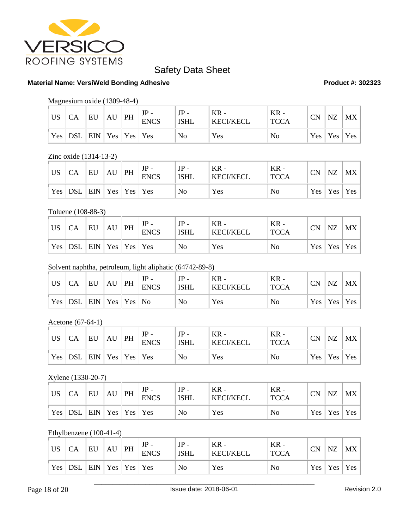

#### **Material Name: VersiWeld Bonding Adhesive Product #: 302323**

### Magnesium oxide (1309-48-4)

| <b>US</b> |     | EU                              | AU | PH | <b>ENCS</b> | $JP -$<br><b>ISHL</b> | $KR -$<br><b>KECI/KECL</b> | $KR -$<br><b>TCCA</b> | CΝ | NZ        | MX  |
|-----------|-----|---------------------------------|----|----|-------------|-----------------------|----------------------------|-----------------------|----|-----------|-----|
| Yes       | DSL | $ $ EIN $ $ Yes $ $ Yes $ $ Yes |    |    |             | No                    | Yes                        | No                    |    | Yes   Yes | Yes |

#### Zinc oxide (1314-13-2)

| <b>US</b> | СA                                                                      | EU | AU | PH | <b>ENCS</b> | $JP -$<br><b>ISHL</b> | $KR -$<br><b>KECI/KECL</b> | $KR -$<br><b>TCCA</b> | <b>CN</b>  | <b>NZ</b>               | MX |
|-----------|-------------------------------------------------------------------------|----|----|----|-------------|-----------------------|----------------------------|-----------------------|------------|-------------------------|----|
|           | $\vert$ Yes $\vert$ DSL $\vert$ EIN $\vert$ Yes $\vert$ Yes $\vert$ Yes |    |    |    |             | No                    | Yes                        | No                    | $Yes \mid$ | $\vert$ Yes $\vert$ Yes |    |

#### Toluene (108-88-3)

| <b>US</b> | CA        | EU                              | AU | PH | $JP -$<br><b>ENCS</b> | $JP -$<br><b>ISHL</b> | $KR -$<br><b>KECI/KECL</b> | $KR -$<br><b>TCCA</b> | <b>CN</b>        | NZ                  | $MX \mid$ |
|-----------|-----------|---------------------------------|----|----|-----------------------|-----------------------|----------------------------|-----------------------|------------------|---------------------|-----------|
|           | $Yes$ DSL | $ $ EIN $ $ Yes $ $ Yes $ $ Yes |    |    |                       | No                    | Yes                        | No                    | Yes <sub>1</sub> | $\vert$ Yes $\vert$ | Yes       |

#### Solvent naphtha, petroleum, light aliphatic (64742-89-8)

| <b>US</b> | CA        | EU                             | AU | PH | $JP -$<br><b>ENCS</b> | $JP -$<br><b>ISHL</b> | $KR -$<br><b>KECI/KECL</b> | $KR -$<br><b>TCCA</b> | <b>CN</b>  | <b>NZ</b>           | MX  |
|-----------|-----------|--------------------------------|----|----|-----------------------|-----------------------|----------------------------|-----------------------|------------|---------------------|-----|
|           | Yes   DSL | $ $ EIN $ $ Yes $ $ Yes $ $ No |    |    |                       | No                    | Yes                        | No                    | $Yes \mid$ | $\vert$ Yes $\vert$ | Yes |

Acetone (67-64-1)

| <b>US</b> | СA                                                                      | EU | AU | PH | <b>ENCS</b> | $JP -$<br><b>ISHL</b> | $KR -$<br><b>KECI/KECL</b> | KR -<br><b>TCCA</b> | <b>CN</b>  | <b>NZ</b>               | MX |
|-----------|-------------------------------------------------------------------------|----|----|----|-------------|-----------------------|----------------------------|---------------------|------------|-------------------------|----|
|           | $\vert$ Yes $\vert$ DSL $\vert$ EIN $\vert$ Yes $\vert$ Yes $\vert$ Yes |    |    |    |             | No                    | Yes                        | No                  | $Yes \mid$ | $\vert$ Yes $\vert$ Yes |    |

#### Xylene (1330-20-7)

| <b>US</b> | CA                          | EU | AU | PH | $JP -$<br><b>ENCS</b> | $JP -$<br><b>ISHL</b> | $KR -$<br><b>KECI/KECL</b> | $KR -$<br><b>TCCA</b> | CN | <b>NZ</b>           | MX  |
|-----------|-----------------------------|----|----|----|-----------------------|-----------------------|----------------------------|-----------------------|----|---------------------|-----|
| Yes       | DSL   EIN   Yes   Yes   Yes |    |    |    |                       | No                    | Yes                        | No                    |    | $Yes \mid Yes \mid$ | Yes |

#### Ethylbenzene (100-41-4)

| <b>US</b> |           | EU                              | AU | PH | <b>ENCS</b> | JP -<br><b>ISHL</b> | $KR -$<br><b>KECI/KECL</b> | $KR -$<br><b>TCCA</b> | <b>CN</b> | NZ              | MX |
|-----------|-----------|---------------------------------|----|----|-------------|---------------------|----------------------------|-----------------------|-----------|-----------------|----|
|           | Yes   DSL | $ $ EIN $ $ Yes $ $ Yes $ $ Yes |    |    |             | N <sub>0</sub>      | Yes                        | No                    |           | Yes   Yes   Yes |    |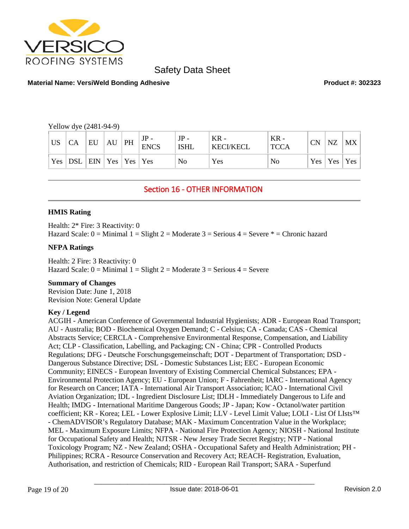

#### **Material Name: VersiWeld Bonding Adhesive Product #: 302323**

Yellow dye (2481-94-9)

| <b>US</b> | <b>CA</b>                                                                       | EU | AU | PH | <b>ENCS</b> | $JP -$<br><b>ISHL</b> | $KR -$<br>  KECI/KECL | $KR -$<br><b>TCCA</b> | <b>CN</b> | NZ              | MX |
|-----------|---------------------------------------------------------------------------------|----|----|----|-------------|-----------------------|-----------------------|-----------------------|-----------|-----------------|----|
|           | $\vert$ Yes $\vert$ DSL $\vert$ EIN $\vert$ Yes $\vert$ Yes $\vert$ Yes $\vert$ |    |    |    |             | No                    | Yes                   | No                    |           | Yes   Yes   Yes |    |

# Section 16 - OTHER INFORMATION

#### **HMIS Rating**

Health: 2\* Fire: 3 Reactivity: 0 Hazard Scale:  $0 =$  Minimal  $1 =$  Slight  $2 =$  Moderate  $3 =$  Serious  $4 =$  Severe  $* =$  Chronic hazard

#### **NFPA Ratings**

Health: 2 Fire: 3 Reactivity: 0 Hazard Scale:  $0 =$  Minimal  $1 =$  Slight  $2 =$  Moderate  $3 =$  Serious  $4 =$  Severe

#### **Summary of Changes**

Revision Date: June 1, 2018 Revision Note: General Update

#### **Key / Legend**

ACGIH - American Conference of Governmental Industrial Hygienists; ADR - European Road Transport; AU - Australia; BOD - Biochemical Oxygen Demand; C - Celsius; CA - Canada; CAS - Chemical Abstracts Service; CERCLA - Comprehensive Environmental Response, Compensation, and Liability Act; CLP - Classification, Labelling, and Packaging; CN - China; CPR - Controlled Products Regulations; DFG - Deutsche Forschungsgemeinschaft; DOT - Department of Transportation; DSD - Dangerous Substance Directive; DSL - Domestic Substances List; EEC - European Economic Community; EINECS - European Inventory of Existing Commercial Chemical Substances; EPA - Environmental Protection Agency; EU - European Union; F - Fahrenheit; IARC - International Agency for Research on Cancer; IATA - International Air Transport Association; ICAO - International Civil Aviation Organization; IDL - Ingredient Disclosure List; IDLH - Immediately Dangerous to Life and Health; IMDG - International Maritime Dangerous Goods; JP - Japan; Kow - Octanol/water partition coefficient; KR - Korea; LEL - Lower Explosive Limit; LLV - Level Limit Value; LOLI - List Of LIsts™ - ChemADVISOR's Regulatory Database; MAK - Maximum Concentration Value in the Workplace; MEL - Maximum Exposure Limits; NFPA - National Fire Protection Agency; NIOSH - National Institute for Occupational Safety and Health; NJTSR - New Jersey Trade Secret Registry; NTP - National Toxicology Program; NZ - New Zealand; OSHA - Occupational Safety and Health Administration; PH - Philippines; RCRA - Resource Conservation and Recovery Act; REACH- Registration, Evaluation, Authorisation, and restriction of Chemicals; RID - European Rail Transport; SARA - Superfund